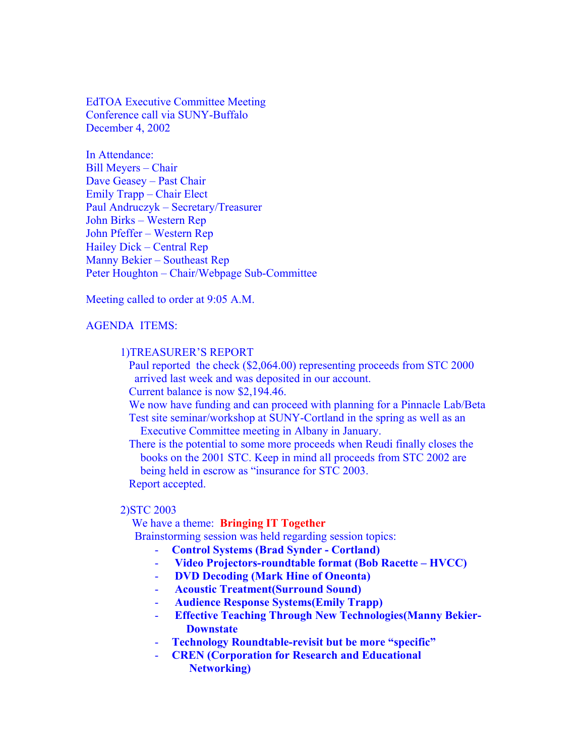EdTOA Executive Committee Meeting Conference call via SUNY-Buffalo December 4, 2002

In Attendance: Bill Meyers – Chair Dave Geasey – Past Chair Emily Trapp – Chair Elect Paul Andruczyk – Secretary/Treasurer John Birks – Western Rep John Pfeffer – Western Rep Hailey Dick – Central Rep Manny Bekier – Southeast Rep Peter Houghton – Chair/Webpage Sub-Committee

Meeting called to order at 9:05 A.M.

## AGENDA ITEMS:

## 1)TREASURER'S REPORT

 Paul reported the check (\$2,064.00) representing proceeds from STC 2000 arrived last week and was deposited in our account.

Current balance is now \$2,194.46.

 We now have funding and can proceed with planning for a Pinnacle Lab/Beta Test site seminar/workshop at SUNY-Cortland in the spring as well as an

Executive Committee meeting in Albany in January.

 There is the potential to some more proceeds when Reudi finally closes the books on the 2001 STC. Keep in mind all proceeds from STC 2002 are being held in escrow as "insurance for STC 2003. Report accepted.

#### 2)STC 2003

We have a theme: **Bringing IT Together**

Brainstorming session was held regarding session topics:

- **Control Systems (Brad Synder Cortland)**
- - **Video Projectors-roundtable format (Bob Racette HVCC)**
- - **DVD Decoding (Mark Hine of Oneonta)**
- - **Acoustic Treatment(Surround Sound)**
- - **Audience Response Systems(Emily Trapp)**
- - **Effective Teaching Through New Technologies(Manny Bekier- Downstate**
- **Technology Roundtable-revisit but be more "specific"**
- **CREN (Corporation for Research and Educational Networking)**